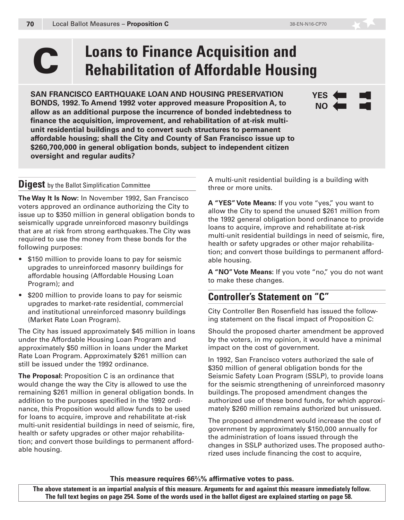**YES NO**

# **C** Loans to Finance Acquisition and<br> **C Rehabilitation of Affordable Housing**

**SAN FRANCISCO EARTHQUAKE LOAN AND HOUSING PRESERVATION BONDS, 1992. To Amend 1992 voter approved measure Proposition A, to allow as an additional purpose the incurrence of bonded indebtedness to finance the acquisition, improvement, and rehabilitation of at-risk multiunit residential buildings and to convert such structures to permanent affordable housing; shall the City and County of San Francisco issue up to \$260,700,000 in general obligation bonds, subject to independent citizen oversight and regular audits?**

#### **Digest** by the Ballot Simplification Committee

**The Way It Is Now:** In November 1992, San Francisco voters approved an ordinance authorizing the City to issue up to \$350 million in general obligation bonds to seismically upgrade unreinforced masonry buildings that are at risk from strong earthquakes. The City was required to use the money from these bonds for the following purposes:

- \$150 million to provide loans to pay for seismic upgrades to unreinforced masonry buildings for affordable housing (Affordable Housing Loan Program); and
- \$200 million to provide loans to pay for seismic upgrades to market-rate residential, commercial and institutional unreinforced masonry buildings (Market Rate Loan Program).

The City has issued approximately \$45 million in loans under the Affordable Housing Loan Program and approximately \$50 million in loans under the Market Rate Loan Program. Approximately \$261 million can still be issued under the 1992 ordinance.

**The Proposal:** Proposition C is an ordinance that would change the way the City is allowed to use the remaining \$261 million in general obligation bonds. In addition to the purposes specified in the 1992 ordinance, this Proposition would allow funds to be used for loans to acquire, improve and rehabilitate at-risk multi-unit residential buildings in need of seismic, fire, health or safety upgrades or other major rehabilitation; and convert those buildings to permanent affordable housing.

A multi-unit residential building is a building with three or more units.

**A "YES" Vote Means:** If you vote "yes," you want to allow the City to spend the unused \$261 million from the 1992 general obligation bond ordinance to provide loans to acquire, improve and rehabilitate at-risk multi-unit residential buildings in need of seismic, fire, health or safety upgrades or other major rehabilitation; and convert those buildings to permanent affordable housing.

**A "NO" Vote Means:** If you vote "no," you do not want to make these changes.

# **Controller's Statement on "C"**

City Controller Ben Rosenfield has issued the following statement on the fiscal impact of Proposition C:

Should the proposed charter amendment be approved by the voters, in my opinion, it would have a minimal impact on the cost of government.

In 1992, San Francisco voters authorized the sale of \$350 million of general obligation bonds for the Seismic Safety Loan Program (SSLP), to provide loans for the seismic strengthening of unreinforced masonry buildings. The proposed amendment changes the authorized use of these bond funds, for which approximately \$260 million remains authorized but unissued.

The proposed amendment would increase the cost of government by approximately \$150,000 annually for the administration of loans issued through the changes in SSLP authorized uses. The proposed authorized uses include financing the cost to acquire,

**This measure requires 66⅔% affirmative votes to pass.**

**The above statement is an impartial analysis of this measure. Arguments for and against this measure immediately follow. The full text begins on page 254. Some of the words used in the ballot digest are explained starting on page 58.**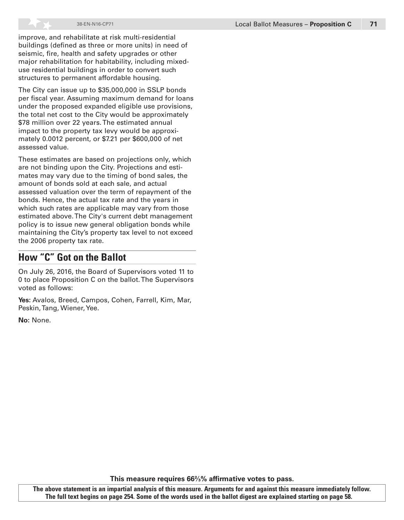improve, and rehabilitate at risk multi-residential buildings (defined as three or more units) in need of seismic, fire, health and safety upgrades or other major rehabilitation for habitability, including mixeduse residential buildings in order to convert such structures to permanent affordable housing.

The City can issue up to \$35,000,000 in SSLP bonds per fiscal year. Assuming maximum demand for loans under the proposed expanded eligible use provisions, the total net cost to the City would be approximately \$78 million over 22 years. The estimated annual impact to the property tax levy would be approximately 0.0012 percent, or \$7.21 per \$600,000 of net assessed value.

These estimates are based on projections only, which are not binding upon the City. Projections and estimates may vary due to the timing of bond sales, the amount of bonds sold at each sale, and actual assessed valuation over the term of repayment of the bonds. Hence, the actual tax rate and the years in which such rates are applicable may vary from those estimated above. The City's current debt management policy is to issue new general obligation bonds while maintaining the City's property tax level to not exceed the 2006 property tax rate.

## **How "C" Got on the Ballot**

On July 26, 2016, the Board of Supervisors voted 11 to 0 to place Proposition C on the ballot. The Supervisors voted as follows:

**Yes:** Avalos, Breed, Campos, Cohen, Farrell, Kim, Mar, Peskin, Tang, Wiener, Yee.

**No:** None.

**This measure requires 66⅔% affirmative votes to pass.**

**The above statement is an impartial analysis of this measure. Arguments for and against this measure immediately follow. The full text begins on page 254. Some of the words used in the ballot digest are explained starting on page 58.**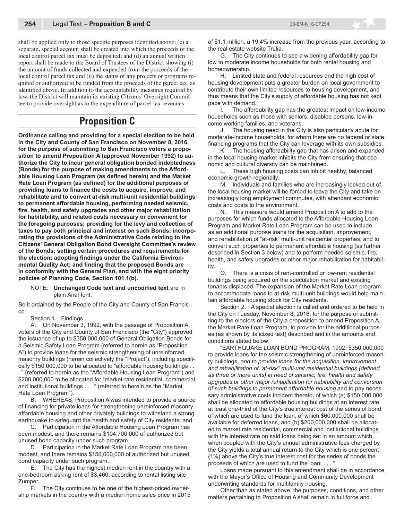shall be applied only to those specific purposes identified above; (c) a separate, special account shall be created into which the proceeds of the local control parcel tax must be deposited; and (d) an annual written report shall be made to the Board of Trustees of the District showing (i) the amount of funds collected and expended from the proceeds of the local control parcel tax and (ii) the status of any projects or programs required or authorized to be funded from the proceeds of the parcel tax, as identified above. In addition to the accountability measures required by law, the District will maintain its existing Citizens' Oversight Committee to provide oversight as to the expenditure of parcel tax revenues.

## **Proposition C**

**Ordinance calling and providing for a special election to be held in the City and County of San Francisco on November 8, 2016, for the purpose of submitting to San Francisco voters a proposition to amend Proposition A (approved November 1992) to authorize the City to incur general obligation bonded indebtedness (Bonds) for the purpose of making amendments to the Affordable Housing Loan Program (as defined herein) and the Market Rate Loan Program (as defined) for the additional purposes of providing loans to finance the costs to acquire, improve, and rehabilitate and to convert at-risk multi-unit residential buildings to permanent affordable housing, performing needed seismic, fire, health, and safety upgrades and other major rehabilitation for habitability, and related costs necessary or convenient for the foregoing purposes; providing for the levy and collection of taxes to pay both principal and interest on such Bonds; incorporating the provisions of the Administrative Code relating to the Citizens' General Obligation Bond Oversight Committee's review of the Bonds; setting certain procedures and requirements for the election; adopting findings under the California Environmental Quality Act; and finding that the proposed Bonds are in conformity with the General Plan, and with the eight priority policies of Planning Code, Section 101.1(b).**

NOTE: **Unchanged Code text and uncodified text** are in plain Arial font.

Be it ordained by the People of the City and County of San Francisco:

Section 1. Findings.

A. On November 3, 1992, with the passage of Proposition A, voters of the City and County of San Francisco (the "City") approved the issuance of up to \$350,000,000 of General Obligation Bonds for a Seismic Safety Loan Program (referred to herein as "Proposition A") to provide loans for the seismic strengthening of unreinforced masonry buildings (herein collectively the "Project"), including specifically \$150,000,000 to be allocated to "affordable housing buildings . .

. " (referred to herein as the "Affordable Housing Loan Program") and \$200,000,000 to be allocated for "market-rate residential, commercial and institutional buildings . . . " (referred to herein as the "Market Rate Loan Program").

B. WHEREAS, Proposition A was intended to provide a source of financing for private loans for strengthening unreinforced masonry affordable housing and other privately buildings to withstand a strong earthquake to safeguard the health and safety of City residents; and

C. Participation in the Affordable Housing Loan Program has been modest, and there remains \$104,700,000 of authorized but unused bond capacity under such program.

D. Participation in the Market Rate Loan Program has been modest, and there remains \$156,000,000 of authorized but unused bond capacity under such program.

E. The City has the highest median rent in the country with a one-bedroom asking rent of \$3,460, according to rental listing site Zumper.

F. The City continues to be one of the highest-priced ownership markets in the country with a median home sales price in 2015 of \$1.1 million, a 19.4% increase from the previous year, according to the real estate website Trulia.

G. The City continues to see a widening affordability gap for low to moderate income households for both rental housing and homeownership.

H. Limited state and federal resources and the high cost of housing development puts a greater burden on local government to contribute their own limited resources to housing development, and thus means that the City's supply of affordable housing has not kept pace with demand.

I. The affordability gap has the greatest impact on low-income households such as those with seniors, disabled persons, low-income working families, and veterans.

J. The housing need in the City is also particularly acute for moderate-income households, for whom there are no federal or state financing programs that the City can leverage with its own subsidies.

K. The housing affordability gap that has arisen and expanded in the local housing market inhibits the City from ensuring that economic and cultural diversity can be maintained.

L. These high housing costs can inhibit healthy, balanced economic growth regionally.

M. Individuals and families who are increasingly locked out of the local housing market will be forced to leave the City and take on increasingly long employment commutes, with attendant economic costs and costs to the environment.

N. This measure would amend Proposition A to add to the purposes for which funds allocated to the Affordable Housing Loan Program and Market Rate Loan Program can be used to include as an additional purpose loans for the acquisition, improvement, and rehabilitation of "at-risk" multi-unit residential properties, and to convert such properties to permanent affordable housing (as further described in Section 3 below) and to perform needed seismic, fire, health, and safety upgrades or other major rehabilitation for habitability.

O. There is a crisis of rent-controlled or low-rent residential buildings being acquired on the speculation market and existing tenants displaced. The expansion of the Market Rate Loan program to accommodate loans to at-risk multi-unit buildings would help maintain affordable housing stock for City residents.

Section 2. A special election is called and ordered to be held in the City on Tuesday, November 8, 2016, for the purpose of submitting to the electors of the City a proposition to amend Proposition A, the Market Rate Loan Program, to provide for the additional purposes (as shown by italicized text) described and in the amounts and conditions stated below:

"EARTHQUAKE LOAN BOND PROGRAM, 1992. \$350,000,000 to provide loans for the seismic strengthening of unreinforced masonry buildings, *and to provide loans for the acquisition, improvement and rehabilitation of "at-risk" multi-unit residential buildings (defined as three or more units) in need of seismic, fire, health and safety upgrades or other major rehabilitation for habitability and conversion of such buildings to permanent affordable housing* and to pay necessary administrative costs incident thereto, of which (a) \$150,000,000 shall be allocated to affordable housing buildings at an interest rate at least one-third of the City's true interest cost of the series of bond of which are used to fund the loan, of which \$60,000,000 shall be available for deferred loans, and (b) \$200,000,000 shall be allocated to market rate residential, commercial and institutional buildings with the interest rate on said loans being set in an amount which, when coupled with the City's annual administrative fees charged by the City yields a total annual return to the City which is one percent (1%) above the City's true interest cost for the series of bonds the proceeds of which are used to fund the loan; . . . "

Loans made pursuant to this amendment shall be in accordance with the Mayor's Office of Housing and Community Development underwriting standards for multifamily housing.

Other than as stated above, the purposes, conditions, and other matters pertaining to Proposition A shall remain in full force and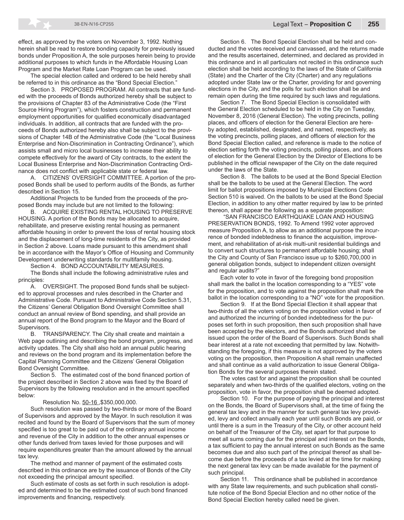effect, as approved by the voters on November 3, 1992. Nothing herein shall be read to restore bonding capacity for previously issued bonds under Proposition A, the sole purposes herein being to provide additional purposes to which funds in the Affordable Housing Loan Program and the Market Rate Loan Program can be used.

The special election called and ordered to be held hereby shall be referred to in this ordinance as the "Bond Special Election."

Section 3. PROPOSED PROGRAM. All contracts that are funded with the proceeds of Bonds authorized hereby shall be subject to the provisions of Chapter 83 of the Administrative Code (the "First Source Hiring Program"), which fosters construction and permanent employment opportunities for qualified economically disadvantaged individuals. In addition, all contracts that are funded with the proceeds of Bonds authorized hereby also shall be subject to the provisions of Chapter 14B of the Administrative Code (the "Local Business Enterprise and Non-Discrimination in Contracting Ordinance"), which assists small and micro local businesses to increase their ability to compete effectively for the award of City contracts, to the extent the Local Business Enterprise and Non-Discrimination Contracting Ordinance does not conflict with applicable state or federal law.

A. CITIZENS' OVERSIGHT COMMITTEE. A portion of the proposed Bonds shall be used to perform audits of the Bonds, as further described in Section 15.

Additional Projects to be funded from the proceeds of the proposed Bonds may include but are not limited to the following:

B. ACQUIRE EXISTING RENTAL HOUSING TO PRESERVE HOUSING. A portion of the Bonds may be allocated to acquire, rehabilitate, and preserve existing rental housing as permanent affordable housing in order to prevent the loss of rental housing stock and the displacement of long-time residents of the City, as provided in Section 2 above. Loans made pursuant to this amendment shall be in accordance with the Mayor's Office of Housing and Community Development underwriting standards for multifamily housing.

Section 4. BOND ACCOUNTABILITY MEASURES.

The Bonds shall include the following administrative rules and principles:

A. OVERSIGHT. The proposed Bond funds shall be subjected to approval processes and rules described in the Charter and Administrative Code. Pursuant to Administrative Code Section 5.31, the Citizens' General Obligation Bond Oversight Committee shall conduct an annual review of Bond spending, and shall provide an annual report of the Bond program to the Mayor and the Board of **Supervisors.** 

B. TRANSPARENCY. The City shall create and maintain a Web page outlining and describing the bond program, progress, and activity updates. The City shall also hold an annual public hearing and reviews on the bond program and its implementation before the Capital Planning Committee and the Citizens' General Obligation Bond Oversight Committee.

Section 5. The estimated cost of the bond financed portion of the project described in Section 2 above was fixed by the Board of Supervisors by the following resolution and in the amount specified below:

#### Resolution No. 50-16 ,\$350,000,000.

Such resolution was passed by two-thirds or more of the Board of Supervisors and approved by the Mayor. In such resolution it was recited and found by the Board of Supervisors that the sum of money specified is too great to be paid out of the ordinary annual income and revenue of the City in addition to the other annual expenses or other funds derived from taxes levied for those purposes and will require expenditures greater than the amount allowed by the annual tax levy.

The method and manner of payment of the estimated costs described in this ordinance are by the issuance of Bonds of the City not exceeding the principal amount specified.

Such estimate of costs as set forth in such resolution is adopted and determined to be the estimated cost of such bond financed improvements and financing, respectively.

Section 6. The Bond Special Election shall be held and conducted and the votes received and canvassed, and the returns made and the results ascertained, determined, and declared as provided in this ordinance and in all particulars not recited in this ordinance such election shall be held according to the laws of the State of California (State) and the Charter of the City (Charter) and any regulations adopted under State law or the Charter, providing for and governing elections in the City, and the polls for such election shall be and remain open during the time required by such laws and regulations.

Section 7. The Bond Special Election is consolidated with the General Election scheduled to be held in the City on Tuesday, November 8, 2016 (General Election). The voting precincts, polling places, and officers of election for the General Election are hereby adopted, established, designated, and named, respectively, as the voting precincts, polling places, and officers of election for the Bond Special Election called, and reference is made to the notice of election setting forth the voting precincts, polling places, and officers of election for the General Election by the Director of Elections to be published in the official newspaper of the City on the date required under the laws of the State.

Section 8. The ballots to be used at the Bond Special Election shall be the ballots to be used at the General Election. The word limit for ballot propositions imposed by Municipal Elections Code Section 510 is waived. On the ballots to be used at the Bond Special Election, in addition to any other matter required by law to be printed thereon, shall appear the following as a separate proposition:

 "SAN FRANCISCO EARTHQUAKE LOAN AND HOUSING PRESERVATION BONDS, 1992. To Amend 1992 voter approved measure Proposition A, to allow as an additional purpose the incurrence of bonded indebtedness to finance the acquisition, improvement, and rehabilitation of at-risk multi-unit residential buildings and to convert such structures to permanent affordable housing; shall the City and County of San Francisco issue up to \$260,700,000 in general obligation bonds, subject to independent citizen oversight and regular audits?"

Each voter to vote in favor of the foregoing bond proposition shall mark the ballot in the location corresponding to a "YES" vote for the proposition, and to vote against the proposition shall mark the ballot in the location corresponding to a "NO" vote for the proposition.

Section 9. If at the Bond Special Election it shall appear that two-thirds of all the voters voting on the proposition voted in favor of and authorized the incurring of bonded indebtedness for the purposes set forth in such proposition, then such proposition shall have been accepted by the electors, and the Bonds authorized shall be issued upon the order of the Board of Supervisors. Such Bonds shall bear interest at a rate not exceeding that permitted by law. Notwithstanding the foregoing, if this measure is not approved by the voters voting on the proposition, then Proposition A shall remain unaffected and shall continue as a valid authorization to issue General Obligation Bonds for the several purposes therein stated.

The votes cast for and against the proposition shall be counted separately and when two-thirds of the qualified electors, voting on the proposition, vote in favor, the proposition shall be deemed adopted.

Section 10. For the purpose of paying the principal and interest on the Bonds, the Board of Supervisors shall, at the time of fixing the general tax levy and in the manner for such general tax levy provided, levy and collect annually each year until such Bonds are paid, or until there is a sum in the Treasury of the City, or other account held on behalf of the Treasurer of the City, set apart for that purpose to meet all sums coming due for the principal and interest on the Bonds, a tax sufficient to pay the annual interest on such Bonds as the same becomes due and also such part of the principal thereof as shall become due before the proceeds of a tax levied at the time for making the next general tax levy can be made available for the payment of such principal.

Section 11. This ordinance shall be published in accordance with any State law requirements, and such publication shall constitute notice of the Bond Special Election and no other notice of the Bond Special Election hereby called need be given.